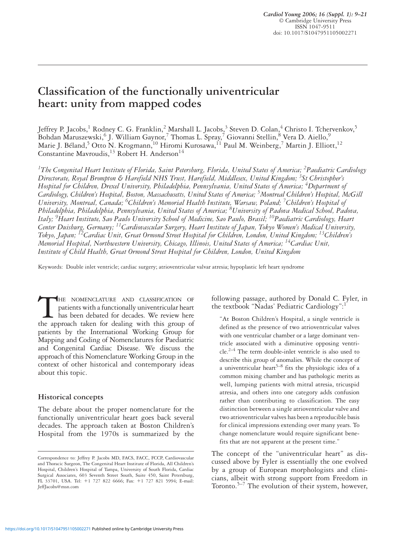*Cardiol Young 2006; 16 (Suppl. 1): 9–21* © Cambridge University Press ISSN 1047-9511 doi: 10.1017/S1047951105002271

# **Classification of the functionally univentricular heart: unity from mapped codes**

Jeffrey P. Jacobs,<sup>1</sup> Rodney C. G. Franklin,<sup>2</sup> Marshall L. Jacobs,<sup>3</sup> Steven D. Colan,<sup>4</sup> Christo I. Tchervenkov,<sup>5</sup> Bohdan Maruszewski,<sup>6</sup> J. William Gaynor,<sup>7</sup> Thomas L. Spray,<sup>7</sup> Giovanni Stellin,<sup>8</sup> Vera D. Aiello,<sup>9</sup> Marie J. Béland,<sup>5</sup> Otto N. Krogmann,<sup>10</sup> Hiromi Kurosawa,<sup>11</sup> Paul M. Weinberg,<sup>7</sup> Martin J. Elliott,<sup>12</sup> Constantine Mavroudis,<sup>13</sup> Robert H. Anderson<sup>14</sup>

*1 The Congenital Heart Institute of Florida, Saint Petersburg, Florida, United States of America; 2 Paediatric Cardiology Directorate, Royal Brompton & Harefield NHS Trust, Harefield, Middlesex, United Kingdom; 3 St Christopher's Hospital for Children, Drexel University, Philadelphia, Pennsylvania, United States of America; 4 Department of Cardiology, Children's Hospital, Boston, Massachusetts, United States of America; 5 Montreal Children's Hospital, McGill University, Montreal, Canada; 6 Children's Memorial Health Institute, Warsaw, Poland; <sup>7</sup> Children's Hospital of Philadelphia, Philadelphia, Pennsylvania, United States of America; 8 University of Padova Medical School, Padova, Italy; 9 Heart Institute, Sao Paulo University School of Medicine, Sao Paulo, Brasil; 10Paediatric Cardiology, Heart Center Duisburg, Germany; 11Cardiovascular Surgery, Heart Institute of Japan, Tokyo Women's Medical University, Tokyo, Japan; 12Cardiac Unit, Great Ormond Street Hospital for Children, London, United Kingdom; 13Children's Memorial Hospital, Northwestern University, Chicago, Illinois, United States of America; 14Cardiac Unit, Institute of Child Health, Great Ormond Street Hospital for Children, London, United Kingdom*

Keywords: Double inlet ventricle; cardiac surgery; atrioventricular valvar atresia; hypoplastic left heart syndrome

THE NOMENCLATURE AND CLASSIFICATION OF patients with a functionally univentricular heart has been debated for decades. We review here the approach taken for dealing with this group of patients with a functionally univentricular heart has been debated for decades. We review here patients by the International Working Group for Mapping and Coding of Nomenclatures for Paediatric and Congenital Cardiac Disease. We discuss the approach of this Nomenclature Working Group in the context of other historical and contemporary ideas about this topic.

#### **Historical concepts**

The debate about the proper nomenclature for the functionally univentricular heart goes back several decades. The approach taken at Boston Children's Hospital from the 1970s is summarized by the following passage, authored by Donald C. Fyler, in the textbook "Nadas' Pediatric Cardiology": "

"At Boston Children's Hospital, a single ventricle is defined as the presence of two atrioventricular valves with one ventricular chamber or a large dominant ventricle associated with a diminutive opposing ventricle.2–4 The term double-inlet ventricle is also used to describe this group of anomalies. While the concept of a univentricular heart<sup>5-8</sup> fits the physiologic idea of a common mixing chamber and has pathologic merits as well, lumping patients with mitral atresia, tricuspid atresia, and others into one category adds confusion rather than contributing to classification. The easy distinction between a single atrioventricular valve and two atrioventricular valves has been a reproducible basis for clinical impressions extending over many years. To change nomenclature would require significant benefits that are not apparent at the present time."

The concept of the "univentricular heart" as discussed above by Fyler is essentially the one evolved by a group of European morphologists and clinicians, albeit with strong support from Freedom in Toronto. $5-7$  The evolution of their system, however,

Correspondence to: Jeffrey P. Jacobs MD, FACS, FACC, FCCP, Cardiovascular and Thoracic Surgeon, The Congenital Heart Institute of Florida, All Children's Hospital, Children's Hospital of Tampa, University of South Florida, Cardiac Surgical Associates, 603 Seventh Street South, Suite 450, Saint Petersburg, FL 33701, USA. Tel: +1 727 822 6666; Fax: +1 727 821 5994; E-mail: JeffJacobs@msn.com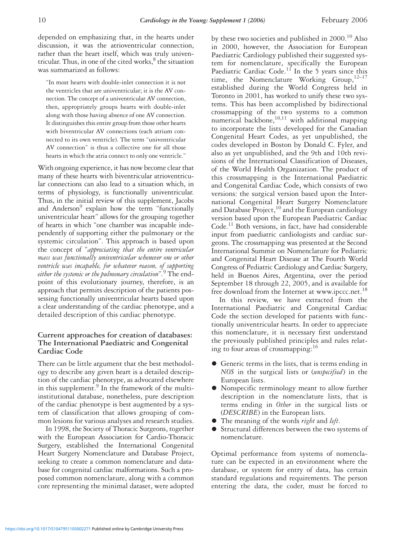depended on emphasizing that, in the hearts under discussion, it was the atrioventricular connection, rather than the heart itself, which was truly univentricular. Thus, in one of the cited works, $8$  the situation was summarized as follows:

"In most hearts with double-inlet connection it is not the ventricles that are univentricular; it is the AV connection. The concept of a univentricular AV connection, then, appropriately groups hearts with double-inlet along with those having absence of one AV connection. It distinguishes this entire group from those other hearts with biventricular AV connections (each atrium connected to its own ventricle). The term "univentricular AV connection" is thus a collective one for all those hearts in which the atria connect to only one ventricle."

With ongoing experience, it has now become clear that many of these hearts with biventricular atrioventricular connections can also lead to a situation which, in terms of physiology, is functionally univentricular. Thus, in the initial review of this supplement, Jacobs and Anderson<sup>9</sup> explain how the term "functionally univentricular heart" allows for the grouping together of hearts in which "one chamber was incapable independently of supporting either the pulmonary or the systemic circulation". This approach is based upon the concept of "*appreciating that the entire ventricular mass was functionally univentricular whenever one or other ventricle was incapable, for whatever reason, of supporting either the systemic or the pulmonary circulation*"*.* <sup>9</sup> The endpoint of this evolutionary journey, therefore, is an approach that permits description of the patients possessing functionally univentricular hearts based upon a clear understanding of the cardiac phenotype, and a detailed description of this cardiac phenotype.

### **Current approaches for creation of databases: The International Paediatric and Congenital Cardiac Code**

There can be little argument that the best methodology to describe any given heart is a detailed description of the cardiac phenotype, as advocated elsewhere in this supplement.<sup>9</sup> In the framework of the multiinstitutional database, nonetheless, pure description of the cardiac phenotype is best augmented by a system of classification that allows grouping of common lesions for various analyses and research studies.

In 1998, the Society of Thoracic Surgeons, together with the European Association for Cardio-Thoracic Surgery, established the International Congenital Heart Surgery Nomenclature and Database Project, seeking to create a common nomenclature and database for congenital cardiac malformations. Such a proposed common nomenclature, along with a common core representing the minimal dataset, were adopted by these two societies and published in  $2000$ .<sup>10</sup> Also in 2000, however, the Association for European Paediatric Cardiology published their suggested system for nomenclature, specifically the European Paediatric Cardiac Code.<sup>11</sup> In the 5 years since this time, the Nomenclature Working  $Group, <sup>12-17</sup>$ established during the World Congress held in Toronto in 2001, has worked to unify these two systems. This has been accomplished by bidirectional crossmapping of the two systems to a common numerical backbone, $10,11$  with additional mapping to incorporate the lists developed for the Canadian Congenital Heart Codes, as yet unpublished, the codes developed in Boston by Donald C. Fyler, and also as yet unpublished, and the 9th and 10th revisions of the International Classification of Diseases, of the World Health Organization. The product of this crossmapping is the International Paediatric and Congenital Cardiac Code**,** which consists of two versions: the surgical version based upon the International Congenital Heart Surgery Nomenclature and Database  $Project<sup>10</sup>$  and the European cardiology version based upon the European Paediatric Cardiac Code.<sup>11</sup> Both versions, in fact, have had considerable input from paediatric cardiologists and cardiac surgeons. The crossmapping was presented at the Second International Summit on Nomenclature for Pediatric and Congenital Heart Disease at The Fourth World Congress of Pediatric Cardiology and Cardiac Surgery, held in Buenos Aires, Argentina, over the period September 18 through 22, 2005, and is available for free download from the Internet at www.ipccc.net.<sup>18</sup>

In this review, we have extracted from the International Paediatric and Congenital Cardiac Code the section developed for patients with functionally univentricular hearts. In order to appreciate this nomenclature, it is necessary first understand the previously published principles and rules relating to four areas of crossmapping:<sup>16</sup>

- Generic terms in the lists, that is terms ending in *NOS* in the surgical lists or (*unspecified*) in the European lists.
- Nonspecific terminology meant to allow further description in the nomenclature lists, that is terms ending in *Other* in the surgical lists or (*DESCRIBE*) in the European lists.
- The meaning of the words *right* and *left*.
- Structural differences between the two systems of nomenclature.

Optimal performance from systems of nomenclature can be expected in an environment where the database, or system for entry of data, has certain standard regulations and requirements. The person entering the data, the coder, must be forced to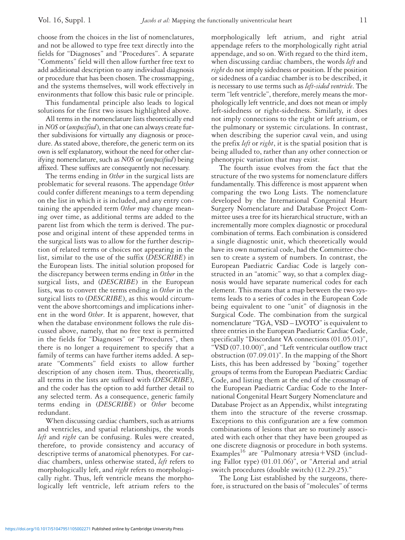choose from the choices in the list of nomenclatures, and not be allowed to type free text directly into the fields for "Diagnoses" and "Procedures". A separate "Comments" field will then allow further free text to add additional description to any individual diagnosis or procedure that has been chosen. The crossmapping, and the systems themselves, will work effectively in environments that follow this basic rule or principle.

This fundamental principle also leads to logical solutions for the first two issues highlighted above.

All terms in the nomenclature lists theoretically end in *NOS* or (*unspecified*), in that one can always create further subdivisions for virtually any diagnosis or procedure. As stated above, therefore, the generic term on its own is self explanatory, without the need for other clarifying nomenclature, such as *NOS* or (*unspecified*) being affixed. These suffixes are consequently not necessary.

The terms ending in *Other* in the surgical lists are problematic for several reasons. The appendage *Other* could confer different meanings to a term depending on the list in which it is included, and any entry containing the appended term *Other* may change meaning over time, as additional terms are added to the parent list from which the term is derived. The purpose and original intent of these appended terms in the surgical lists was to allow for the further description of related terms or choices not appearing in the list, similar to the use of the suffix (*DESCRIBE*) in the European lists. The initial solution proposed for the discrepancy between terms ending in *Other* in the surgical lists, and (*DESCRIBE*) in the European lists, was to convert the terms ending in *Other* in the surgical lists to (*DESCRIBE*), as this would circumvent the above shortcomings and implications inherent in the word *Other*. It is apparent, however, that when the database environment follows the rule discussed above, namely, that no free text is permitted in the fields for "Diagnoses" or "Procedures", then there is no longer a requirement to specify that a family of terms can have further items added. A separate "Comments" field exists to allow further description of any chosen item. Thus, theoretically, all terms in the lists are suffixed with (*DESCRIBE*), and the coder has the option to add further detail to any selected term. As a consequence, generic family terms ending in (*DESCRIBE*) or *Other* become redundant.

When discussing cardiac chambers, such as atriums and ventricles, and spatial relationships, the words *left* and *right* can be confusing. Rules were created, therefore, to provide consistency and accuracy of descriptive terms of anatomical phenotypes. For cardiac chambers, unless otherwise stated, *left* refers to morphologically left, and *right* refers to morphologically right. Thus, left ventricle means the morphologically left ventricle, left atrium refers to the morphologically left atrium, and right atrial appendage refers to the morphologically right atrial appendage, and so on. With regard to the third item, when discussing cardiac chambers, the words *left* and *right* do not imply sidedness or position. If the position or sidedness of a cardiac chamber is to be described, it is necessary to use terms such as *left-sided ventricle*. The term "left ventricle", therefore, merely means the morphologically left ventricle, and does not mean or imply left-sidedness or right-sidedness. Similarly, it does not imply connections to the right or left atrium, or the pulmonary or systemic circulations. In contrast, when describing the superior caval vein, and using the prefix *left* or *right*, it is the spatial position that is being alluded to, rather than any other connection or phenotypic variation that may exist.

The fourth issue evolves from the fact that the structure of the two systems for nomenclature differs fundamentally. This difference is most apparent when comparing the two Long Lists. The nomenclature developed by the International Congenital Heart Surgery Nomenclature and Database Project Committee uses a tree for its hierarchical structure, with an incrementally more complex diagnostic or procedural combination of terms. Each combination is considered a single diagnostic unit, which theoretically would have its own numerical code, had the Committee chosen to create a system of numbers. In contrast, the European Paediatric Cardiac Code is largely constructed in an "atomic" way, so that a complex diagnosis would have separate numerical codes for each element. This means that a map between the two systems leads to a series of codes in the European Code being equivalent to one "unit" of diagnosis in the Surgical Code. The combination from the surgical nomenclature "TGA, VSD – LVOTO" is equivalent to three entries in the European Paediatric Cardiac Code, specifically "Discordant VA connections (01.05.01)", "VSD (07.10.00)", and "Left ventricular outflow tract obstruction (07.09.01)". In the mapping of the Short Lists, this has been addressed by "boxing" together groups of terms from the European Paediatric Cardiac Code, and listing them at the end of the crossmap of the European Paediatric Cardiac Code to the International Congenital Heart Surgery Nomenclature and Database Project as an Appendix, whilst integrating them into the structure of the reverse crossmap. Exceptions to this configuration are a few common combinations of lesions that are so routinely associated with each other that they have been grouped as one discrete diagnosis or procedure in both systems. Examples<sup>16</sup> are "Pulmonary atresia + VSD (including Fallot type) (01.01.06)", or "Arterial and atrial switch procedures (double switch) (12.29.25)."

The Long List established by the surgeons, therefore, is structured on the basis of "molecules" of terms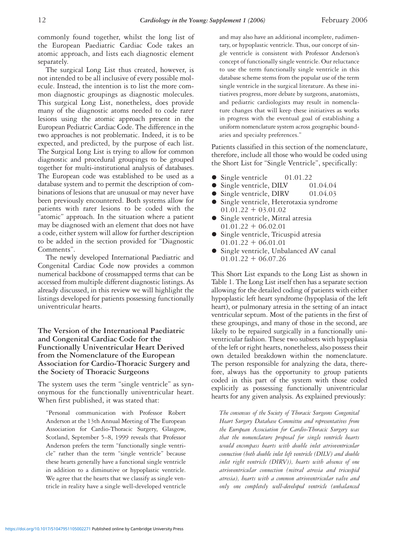commonly found together, whilst the long list of the European Paediatric Cardiac Code takes an atomic approach, and lists each diagnostic element separately.

The surgical Long List thus created, however, is not intended to be all inclusive of every possible molecule. Instead, the intention is to list the more common diagnostic groupings as diagnostic molecules. This surgical Long List, nonetheless, does provide many of the diagnostic atoms needed to code rarer lesions using the atomic approach present in the European Pediatric Cardiac Code. The difference in the two approaches is not problematic. Indeed, it is to be expected, and predicted, by the purpose of each list. The Surgical Long List is trying to allow for common diagnostic and procedural groupings to be grouped together for multi-institutional analysis of databases. The European code was established to be used as a database system and to permit the description of combinations of lesions that are unusual or may never have been previously encountered. Both systems allow for patients with rarer lesions to be coded with the "atomic" approach. In the situation where a patient may be diagnosed with an element that does not have a code, either system will allow for further description to be added in the section provided for "Diagnostic Comments".

The newly developed International Paediatric and Congenital Cardiac Code now provides a common numerical backbone of crossmapped terms that can be accessed from multiple different diagnostic listings. As already discussed, in this review we will highlight the listings developed for patients possessing functionally univentricular hearts.

**The Version of the International Paediatric and Congenital Cardiac Code for the Functionally Univentricular Heart Derived from the Nomenclature of the European Association for Cardio-Thoracic Surgery and the Society of Thoracic Surgeons**

The system uses the term "single ventricle" as synonymous for the functionally univentricular heart. When first published, it was stated that:

"Personal communication with Professor Robert Anderson at the 13th Annual Meeting of The European Association for Cardio-Thoracic Surgery, Glasgow, Scotland, September 5–8, 1999 reveals that Professor Anderson prefers the term "functionally single ventricle" rather than the term "single ventricle" because these hearts generally have a functional single ventricle in addition to a diminutive or hypoplastic ventricle. We agree that the hearts that we classify as single ventricle in reality have a single well-developed ventricle and may also have an additional incomplete, rudimentary, or hypoplastic ventricle. Thus, our concept of single ventricle is consistent with Professor Anderson's concept of functionally single ventricle. Our reluctance to use the term functionally single ventricle in this database scheme stems from the popular use of the term single ventricle in the surgical literature. As these initiatives progress, more debate by surgeons, anatomists, and pediatric cardiologists may result in nomenclature changes that will keep these initiatives as works in progress with the eventual goal of establishing a uniform nomenclature system across geographic boundaries and specialty preferences."

Patients classified in this section of the nomenclature, therefore, include all those who would be coded using the Short List for "Single Ventricle", specifically:

- Single ventricle 01.01.22
- Single ventricle, DILV 01.04.04
- Single ventricle, DIRV 01.04.03
- Single ventricle, Heterotaxia syndrome  $01.01.22 + 03.01.02$
- Single ventricle, Mitral atresia  $01.01.22 + 06.02.01$
- Single ventricle, Tricuspid atresia  $01.01.22 + 06.01.01$
- Single ventricle, Unbalanced AV canal  $01.01.22 + 06.07.26$

This Short List expands to the Long List as shown in Table 1. The Long List itself then has a separate section allowing for the detailed coding of patients with either hypoplastic left heart syndrome (hypoplasia of the left heart), or pulmonary atresia in the setting of an intact ventricular septum. Most of the patients in the first of these groupings, and many of those in the second, are likely to be repaired surgically in a functionally univentricular fashion. These two subsets with hypoplasia of the left or right hearts, nonetheless, also possess their own detailed breakdown within the nomenclature. The person responsible for analyzing the data, therefore, always has the opportunity to group patients coded in this part of the system with those coded explicitly as possessing functionally univentricular hearts for any given analysis. As explained previously:

*The consensus of the Society of Thoracic Surgeons Congenital Heart Surgery Database Committee and representatives from the European Association for Cardio-Thoracic Surgery was that the nomenclature proposal for single ventricle hearts would encompass hearts with double inlet atrioventricular connection (both double inlet left ventricle (DILV) and double inlet right ventricle (DIRV)), hearts with absence of one atrioventricular connection (mitral atresia and tricuspid atresia), hearts with a common atrioventricular valve and only one completely well-developed ventricle (unbalanced*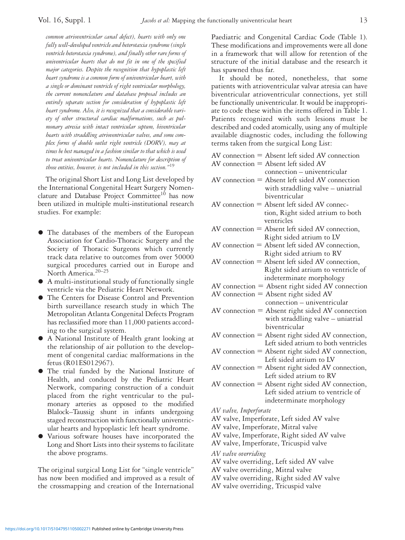*common atrioventricular canal defect), hearts with only one fully well-developed ventricle and heterotaxia syndrome (single ventricle heterotaxia syndrome), and finally other rare forms of univentricular hearts that do not fit in one of the specified major categories. Despite the recognition that hypoplastic left heart syndrome is a common form of univentricular heart, with a single or dominant ventricle of right ventricular morphology, the current nomenclature and database proposal includes an entirely separate section for consideration of hypoplastic left heart syndrome. Also, it is recognized that a considerable variety of other structural cardiac malformations, such as pulmonary atresia with intact ventricular septum, biventricular hearts with straddling atrioventricular valves, and some complex forms of double outlet right ventricle (DORV), may at times be best managed in a fashion similar to that which is used to treat univentricular hearts. Nomenclature for description of those entities, however, is not included in this section."*<sup>19</sup>

The original Short List and Long List developed by the International Congenital Heart Surgery Nomenclature and Database Project Committee<sup>10</sup> has now been utilized in multiple multi-institutional research studies. For example:

- The databases of the members of the European Association for Cardio-Thoracic Surgery and the Society of Thoracic Surgeons which currently track data relative to outcomes from over 50000 surgical procedures carried out in Europe and North America.20–25
- A multi-institutional study of functionally single ventricle via the Pediatric Heart Network.
- The Centers for Disease Control and Prevention birth surveillance research study in which The Metropolitan Atlanta Congenital Defects Program has reclassified more than 11,000 patients according to the surgical system.
- A National Institute of Health grant looking at the relationship of air pollution to the development of congenital cardiac malformations in the fetus (R01ES012967).
- The trial funded by the National Institute of Health, and conduced by the Pediatric Heart Network, comparing construction of a conduit placed from the right ventricular to the pulmonary arteries as opposed to the modified Blalock–Taussig shunt in infants undergoing staged reconstruction with functionally univentricular hearts and hypoplastic left heart syndrome.
- Various software houses have incorporated the Long and Short Lists into their systems to facilitate the above programs.

The original surgical Long List for "single ventricle" has now been modified and improved as a result of the crossmapping and creation of the International

Paediatric and Congenital Cardiac Code (Table 1). These modifications and improvements were all done in a framework that will allow for retention of the structure of the initial database and the research it has spawned thus far.

It should be noted, nonetheless, that some patients with atrioventricular valvar atresia can have biventricular atrioventricular connections, yet still be functionally univentricular. It would be inappropriate to code these within the items offered in Table 1. Patients recognized with such lesions must be described and coded atomically, using any of multiple available diagnostic codes, including the following terms taken from the surgical Long List:

|  | AV connection = Absent left sided AV connection |
|--|-------------------------------------------------|
|  | AV connection $=$ Absent left sided AV          |
|  | connection – univentricular                     |

- $AV connection = Absent left sideed AV connection$ with straddling valve – uniatrial biventricular
- $AV connection = Absent left sided AV connecti$ tion, Right sided atrium to both ventricles
- $AV connection = Absent left sideed AV connection,$ Right sided atrium to LV
- $AV connection = Absent left sideed AV connection,$ Right sided atrium to RV
- $AV connection = Absent left sideed AV connection,$ Right sided atrium to ventricle of indeterminate morphology
- $AV connection = Absent right *AV connection*$
- $AV$  connection = Absent right sided  $AV$ connection – univentricular
- $AV connection = Absent right *AV connection*$ with straddling valve – uniatrial biventricular
- $AV connection = Absent right *RV connection*,$ Left sided atrium to both ventricles
- $AV connection = Absent right *RV* connection,$ Left sided atrium to LV
- $AV connection = Absent right *RV connection*,$ Left sided atrium to RV
- $AV connection = Absent right *RV connection*,$ Left sided atrium to ventricle of indeterminate morphology
- *AV valve, Imperforate*
- AV valve, Imperforate, Left sided AV valve
- AV valve, Imperforate, Mitral valve
- AV valve, Imperforate, Right sided AV valve
- AV valve, Imperforate, Tricuspid valve
- *AV valve overriding*
- AV valve overriding, Left sided AV valve
- AV valve overriding, Mitral valve
- AV valve overriding, Right sided AV valve
- AV valve overriding, Tricuspid valve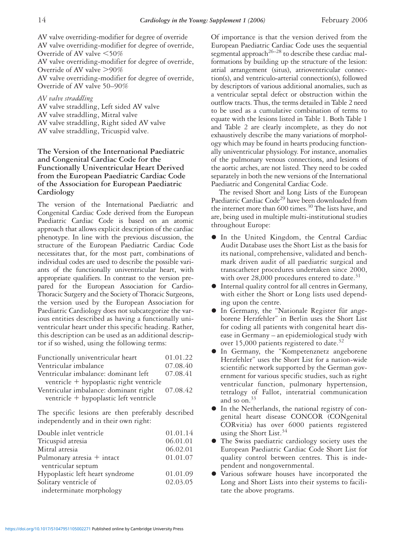AV valve overriding-modifier for degree of override AV valve overriding-modifier for degree of override, Override of AV valve  $\leq 50\%$ AV valve overriding-modifier for degree of override, Override of AV valve  $>90\%$ AV valve overriding-modifier for degree of override, Override of AV valve 50–90%

#### *AV valve straddling*

AV valve straddling, Left sided AV valve AV valve straddling, Mitral valve AV valve straddling, Right sided AV valve AV valve straddling, Tricuspid valve.

### **The Version of the International Paediatric and Congenital Cardiac Code for the Functionally Univentricular Heart Derived from the European Paediatric Cardiac Code of the Association for European Paediatric Cardiology**

The version of the International Paediatric and Congenital Cardiac Code derived from the European Paediatric Cardiac Code is based on an atomic approach that allows explicit description of the cardiac phenotype. In line with the previous discussion, the structure of the European Paediatric Cardiac Code necessitates that, for the most part, combinations of individual codes are used to describe the possible variants of the functionally univentricular heart, with appropriate qualifiers. In contrast to the version prepared for the European Association for Cardio-Thoracic Surgery and the Society of Thoracic Surgeons, the version used by the European Association for Paediatric Cardiology does not subcategorize the various entities described as having a functionally univentricular heart under this specific heading. Rather, this description can be used as an additional descriptor if so wished, using the following terms:

| Functionally univentricular heart       | 01.01.22 |
|-----------------------------------------|----------|
| Ventricular imbalance                   | 07.08.40 |
| Ventricular imbalance: dominant left    | 07.08.41 |
| ventricle + hypoplastic right ventricle |          |
| Ventricular imbalance: dominant right   | 07.08.42 |
| ventricle + hypoplastic left ventricle  |          |
|                                         |          |

The specific lesions are then preferably described independently and in their own right:

| Double inlet ventricle          | 01.01.14 |
|---------------------------------|----------|
| Tricuspid atresia               | 06.01.01 |
| Mitral atresia                  | 06.02.01 |
| Pulmonary atresia + intact      | 01.01.07 |
| ventricular septum              |          |
| Hypoplastic left heart syndrome | 01.01.09 |
| Solitary ventricle of           | 02.03.05 |
| indeterminate morphology        |          |

Of importance is that the version derived from the European Paediatric Cardiac Code uses the sequential segmental approach<sup>26–28</sup> to describe these cardiac malformations by building up the structure of the lesion: atrial arrangement (situs), atrioventricular connection(s), and ventriculo-arterial connection(s), followed by descriptors of various additional anomalies, such as a ventricular septal defect or obstruction within the outflow tracts. Thus, the terms detailed in Table 2 need to be used as a cumulative combination of terms to equate with the lesions listed in Table 1. Both Table 1 and Table 2 are clearly incomplete, as they do not exhaustively describe the many variations of morphology which may be found in hearts producing functionally univentricular physiology. For instance, anomalies of the pulmonary venous connections, and lesions of the aortic arches, are not listed. They need to be coded separately in both the new versions of the International Paediatric and Congenital Cardiac Code.

The revised Short and Long Lists of the European Paediatric Cardiac Code<sup>29</sup> have been downloaded from the internet more than 600 times.<sup>30</sup> The lists have, and are, being used in multiple multi-institutional studies throughout Europe:

- $\bullet$  In the United Kingdom, the Central Cardiac Audit Database uses the Short List as the basis for its national, comprehensive, validated and benchmark driven audit of all paediatric surgical and transcatheter procedures undertaken since 2000, with over 28,000 procedures entered to date.<sup>31</sup>
- Internal quality control for all centres in Germany, with either the Short or Long lists used depending upon the centre.
- In Germany, the "Nationale Register für angeborene Herzfehler" in Berlin uses the Short List for coding all patients with congenital heart disease in Germany – an epidemiological study with over 15,000 patients registered to date.<sup>32</sup>
- In Germany, the "Kompetenznetz angeborene Herzfehler" uses the Short List for a nation-wide scientific network supported by the German government for various specific studies, such as right ventricular function, pulmonary hypertension, tetralogy of Fallot, interatrial communication and so on. $33$
- In the Netherlands, the national registry of congenital heart disease CONCOR (CONgenital CORvitia) has over 6000 patients registered using the Short List.<sup>34</sup>
- The Swiss paediatric cardiology society uses the European Paediatric Cardiac Code Short List for quality control between centres. This is independent and nongovernmental.
- Various software houses have incorporated the Long and Short Lists into their systems to facilitate the above programs.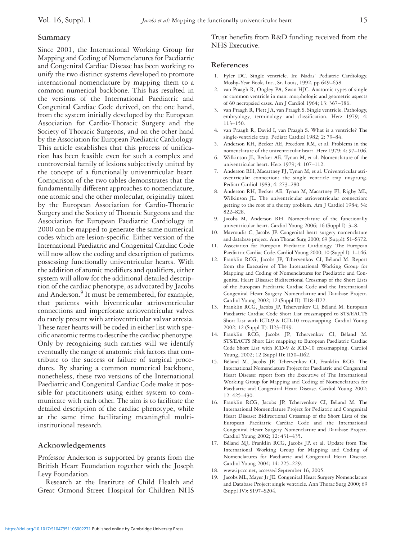### **Summary**

Since 2001, the International Working Group for Mapping and Coding of Nomenclatures for Paediatric and Congenital Cardiac Disease has been working to unify the two distinct systems developed to promote international nomenclature by mapping them to a common numerical backbone. This has resulted in the versions of the International Paediatric and Congenital Cardiac Code derived, on the one hand, from the system initially developed by the European Association for Cardio-Thoracic Surgery and the Society of Thoracic Surgeons, and on the other hand by the Association for European Paediatric Cardiology. This article establishes that this process of unification has been feasible even for such a complex and controversial family of lesions subjectively united by the concept of a functionally univentricular heart. Comparison of the two tables demonstrates that the fundamentally different approaches to nomenclature, one atomic and the other molecular, originally taken by the European Association for Cardio-Thoracic Surgery and the Society of Thoracic Surgeons and the Association for European Paediatric Cardiology in 2000 can be mapped to generate the same numerical codes which are lesion-specific. Either version of the International Paediatric and Congenital Cardiac Code will now allow the coding and description of patients possessing functionally univentricular hearts. With the addition of atomic modifiers and qualifiers, either system will allow for the additional detailed description of the cardiac phenotype, as advocated by Jacobs and Anderson.<sup>9</sup> It must be remembered, for example, that patients with biventricular atrioventricular connections and imperforate atrioventricular valves do rarely present with atrioventricular valvar atresia. These rarer hearts will be coded in either list with specific anatomic terms to describe the cardiac phenotype. Only by recognizing such rarities will we identify eventually the range of anatomic risk factors that contribute to the success or failure of surgical procedures. By sharing a common numerical backbone, nonetheless, these two versions of the International Paediatric and Congenital Cardiac Code make it possible for practitioners using either system to communicate with each other. The aim is to facilitate the detailed description of the cardiac phenotype, while at the same time facilitating meaningful multiinstitutional research.

### **Acknowledgements**

Professor Anderson is supported by grants from the British Heart Foundation together with the Joseph Levy Foundation.

Research at the Institute of Child Health and Great Ormond Street Hospital for Children NHS Trust benefits from R&D funding received from the NHS Executive.

### **References**

- 1. Fyler DC. Single ventricle. In: Nadas' Pediatric Cardiology. Mosby-Year Book, Inc., St. Louis, 1992, pp 649–658.
- van Praagh R, Ongley PA, Swan HJC. Anatomic types of single or common ventricle in man: morphologic and geometric aspects of 60 necropsied cases. Am J Cardiol 1964; 13: 367–386.
- 3. van Praagh R, Plett JA, van Praagh S. Single ventricle. Pathology, embryology, terminology and classification. Herz 1979; 4: 113–150.
- 4. van Praagh R, David I, van Praagh S. What is a ventricle? The single-ventricle trap. Pediatr Cardiol 1982; 2: 79–84.
- 5. Anderson RH, Becker AE, Freedom RM, et al. Problems in the nomenclature of the univentricular heart. Herz 1979; 4: 97–106.
- 6. Wilkinson JL, Becker AE, Tynan M, et al. Nomenclature of the univentricular heart. Herz 1979; 4: 107–112.
- Anderson RH, Macartney FJ, Tynan M, et al. Univentricular atrioventricular connection: the single ventricle trap unsprung. Pediatr Cardiol 1983; 4: 273–280.
- 8. Anderson RH, Becker AE, Tynan M, Macartney FJ, Rigby ML, Wilkinson JL. The univentricular atrioventricular connection: getting to the root of a thorny problem. Am J Cardiol 1984; 54: 822–828.
- 9. Jacobs M, Anderson RH. Nomenclature of the functionally univentricular heart. Cardiol Young 2006; 16 (Suppl I): 3–8*.*
- 10. Mavroudis C, Jacobs JP. Congenital heart surgery nomenclature and database project. Ann Thorac Surg 2000; 69 (Suppl): S1–S372.
- 11. Association for European Paediatric Cardiology. The European Paediatric Cardiac Code. Cardiol Young 2000; 10 (Suppl I): 1–146.
- 12. Franklin RCG, Jacobs JP, Tchervenkov CI, Béland M. Report from the Executive of The International Working Group for Mapping and Coding of Nomenclatures for Paediatric and Congenital Heart Disease: Bidirectional Crossmap of the Short Lists of the European Paediatric Cardiac Code and the International Congenital Heart Surgery Nomenclature and Database Project. Cardiol Young 2002; 12 (Suppl II): II18–II22.
- 13. Franklin RCG, Jacobs JP, Tchervenkov CI, Béland M. European Paediatric Cardiac Code Short List crossmapped to STS/EACTS Short List with ICD-9 & ICD-10 crossmapping. Cardiol Young 2002; 12 (Suppl II): II23–II49.
- 14. Franklin RCG, Jacobs JP, Tchervenkov CI, Béland M. STS/EACTS Short List mapping to European Paediatric Cardiac Code Short List with ICD-9 & ICD-10 crossmapping. Cardiol Young, 2002; 12 (Suppl II): II50–II62.
- 15. Béland M, Jacobs JP, Tchervenkov CI, Franklin RCG. The International Nomenclature Project for Paediatric and Congenital Heart Disease: report from the Executive of The International Working Group for Mapping and Coding of Nomenclatures for Paediatric and Congenital Heart Disease. Cardiol Young 2002; 12: 425–430.
- 16. Franklin RCG, Jacobs JP, Tchervenkov CI, Béland M. The International Nomenclature Project for Pediatric and Congenital Heart Disease: Bidirectional Crossmap of the Short Lists of the European Paediatric Cardiac Code and the International Congenital Heart Surgery Nomenclature and Database Project. Cardiol Young 2002; 12: 431–435.
- 17. Béland MJ, Franklin RCG, Jacobs JP, et al. Update from The International Working Group for Mapping and Coding of Nomenclatures for Paediatric and Congenital Heart Disease. Cardiol Young 2004; 14: 225–229.
- 18. www.ipccc.net, accessed September 16, 2005.
- Jacobs ML, Mayer Jr JE. Congenital Heart Surgery Nomenclature and Database Project: single ventricle. Ann Thorac Surg 2000; 69 (Suppl IV): S197–S204.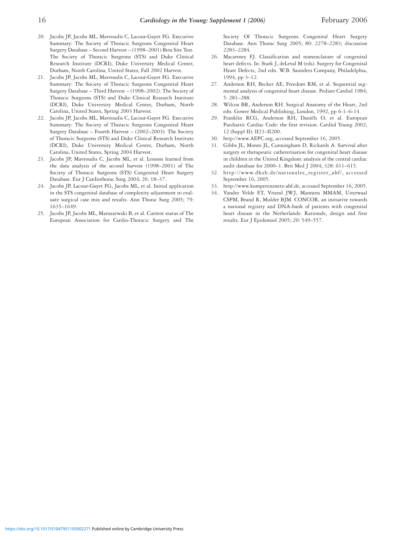- 20. Jacobs JP, Jacobs ML, Mavroudis C, Lacour-Gayet FG. Executive Summary: The Society of Thoracic Surgeons Congenital Heart Surgery Database – Second Harvest – (1998–2001) Beta Site Test. The Society of Thoracic Surgeons (STS) and Duke Clinical Research Institute (DCRI), Duke University Medical Center, Durham, North Carolina, United States, Fall 2002 Harvest.
- 21. Jacobs JP, Jacobs ML, Mavroudis C, Lacour-Gayet FG. Executive Summary: The Society of Thoracic Surgeons Congenital Heart Surgery Database – Third Harvest – (1998–2002). The Society of Thoracic Surgeons (STS) and Duke Clinical Research Institute (DCRI), Duke University Medical Center, Durham, North Carolina, United States, Spring 2003 Harvest.
- 22. Jacobs JP, Jacobs ML, Mavroudis C, Lacour-Gayet FG. Executive Summary: The Society of Thoracic Surgeons Congenital Heart Surgery Database – Fourth Harvest – (2002–2003). The Society of Thoracic Surgeons (STS) and Duke Clinical Research Institute (DCRI), Duke University Medical Center, Durham, North Carolina, United States, Spring 2004 Harvest.
- 23. Jacobs JP, Mavroudis C, Jacobs ML, et al. Lessons learned from the data analysis of the second harvest (1998–2001) of The Society of Thoracic Surgeons (STS) Congenital Heart Surgery Database. Eur J Cardiothorac Surg 2004; 26: 18–37.
- 24. Jacobs JP, Lacour-Gayet FG, Jacobs ML, et al. Initial application in the STS congenital database of complexity adjustment to evaluate surgical case mix and results. Ann Thorac Surg 2005; 79: 1635–1649.
- 25. Jacobs JP, Jacobs ML, Maruszewski B, et al. Current status of The European Association for Cardio-Thoracic Surgery and The

Society Of Thoracic Surgeons Congenital Heart Surgery Database. Ann Thorac Surg 2005; 80: 2278–2283; discussion 2283–2284.

- 26. Macartney FJ. Classification and nomenclature of congenital heart defects. In: Stark J, deLeval M (eds). Surgery for Congenital Heart Defects, 2nd edn. W.B. Saunders Company, Philadelphia, 1994, pp 3–12.
- 27. Anderson RH, Becker AE, Freedom RM, et al. Sequential segmental analysis of congenital heart disease. Pediatr Cardiol 1984; 5: 281–288.
- 28. Wilcox BR, Anderson RH. Surgical Anatomy of the Heart, 2nd edn. Gower Medical Publishing, London, 1992, pp 6-1–6-14.
- 29. Franklin RCG, Anderson RH, Daniëls O, et al. European Paediatric Cardiac Code: the first revision. Cardiol Young 2002; 12 (Suppl II): II23–II200.
- 30. http://www.AEPC.org, accessed September 16, 2005.
- 31. Gibbs JL, Monro JL, Cunningham D, Rickards A. Survival after surgery or therapeutic catheterisation for congenital heart disease in children in the United Kingdom: analysis of the central cardiac audit database for 2000–1. Brit Med J 2004; 328: 611–615.
- 32. http://www.dhzb.de/nationales\_register\_ahf/, accessed September 16, 2005.
- 33. http://www.kompetenznetz-ahf.de, accessed September 16, 2005.
- 34. Vander Velde ET, Vriend JWJ, Mannens MMAM, Uiterwaal CSPM, Brand R, Mulder BJM. CONCOR, an initiative towards a national registry and DNA-bank of patients with congenital heart disease in the Netherlands: Rationale, design and first results. Eur J Epidemiol 2005; 20: 549–557.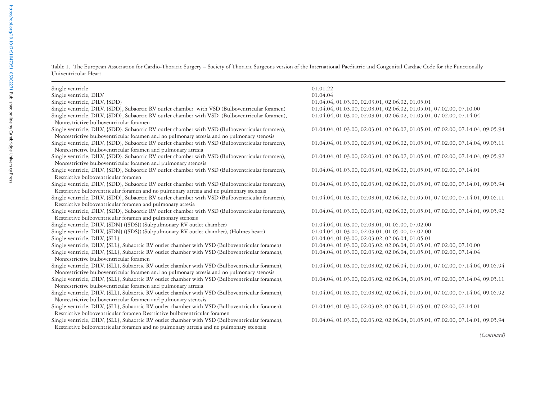Table 1. The European Association for Cardio-Thoracic Surgery – Society of Thoracic Surgeons version of the International Paediatric and Congenital Cardiac Code for the Functionally Univentricular Heart.

| Single ventricle                                                                                                                                                                              | 01.01.22                                                                       |
|-----------------------------------------------------------------------------------------------------------------------------------------------------------------------------------------------|--------------------------------------------------------------------------------|
| Single ventricle, DILV                                                                                                                                                                        | 01.04.04                                                                       |
| Single ventricle, DILV, {SDD}                                                                                                                                                                 | 01.04.04, 01.03.00, 02.03.01, 02.06.02, 01.05.01                               |
| Single ventricle, DIIV, {SDD}, Subaortic RV outlet chamber with VSD (Bulboventricular foramen)                                                                                                | 01.04.04, 01.03.00, 02.03.01, 02.06.02, 01.05.01, 07.02.00, 07.10.00           |
| Single ventricle, DILV, {SDD}, Subaortic RV outlet chamber with VSD (Bulboventricular foramen),<br>Nonrestrictive bulboventricular foramen                                                    | 01.04.04, 01.03.00, 02.03.01, 02.06.02, 01.05.01, 07.02.00, 07.14.04           |
| Single ventricle, DILV, {SDD}, Subaortic RV outlet chamber with VSD (Bulboventricular foramen),<br>Nonrestrictive bulboventricular foramen and no pulmonary atresia and no pulmonary stenosis | 01.04.04, 01.03.00, 02.03.01, 02.06.02, 01.05.01, 07.02.00, 07.14.04, 09.05.94 |
| Single ventricle, DILV, {SDD}, Subaortic RV outlet chamber with VSD (Bulboventricular foramen),<br>Nonrestrictive bulboventricular foramen and pulmonary atresia                              | 01.04.04, 01.03.00, 02.03.01, 02.06.02, 01.05.01, 07.02.00, 07.14.04, 09.05.11 |
| Single ventricle, DILV, {SDD}, Subaortic RV outlet chamber with VSD (Bulboventricular foramen),<br>Nonrestrictive bulboventricular foramen and pulmonary stenosis                             | 01.04.04, 01.03.00, 02.03.01, 02.06.02, 01.05.01, 07.02.00, 07.14.04, 09.05.92 |
| Single ventricle, DILV, {SDD}, Subaortic RV outlet chamber with VSD (Bulboventricular foramen),<br>Restrictive bulboventricular foramen                                                       | 01.04.04, 01.03.00, 02.03.01, 02.06.02, 01.05.01, 07.02.00, 07.14.01           |
| Single ventricle, DILV, {SDD}, Subaortic RV outlet chamber with VSD (Bulboventricular foramen),<br>Restrictive bulboventricular foramen and no pulmonary atresia and no pulmonary stenosis    | 01.04.04, 01.03.00, 02.03.01, 02.06.02, 01.05.01, 07.02.00, 07.14.01, 09.05.94 |
| Single ventricle, DILV, {SDD}, Subaortic RV outlet chamber with VSD (Bulboventricular foramen),<br>Restrictive bulboventricular foramen and pulmonary atresia                                 | 01.04.04, 01.03.00, 02.03.01, 02.06.02, 01.05.01, 07.02.00, 07.14.01, 09.05.11 |
| Single ventricle, DILV, {SDD}, Subaortic RV outlet chamber with VSD (Bulboventricular foramen),<br>Restrictive bulboventricular foramen and pulmonary stenosis                                | 01.04.04, 01.03.00, 02.03.01, 02.06.02, 01.05.01, 07.02.00, 07.14.01, 09.05.92 |
| Single ventricle, DILV, {SDN} ({SDS}) (Subpulmonary RV outlet chamber)                                                                                                                        | 01.04.04, 01.03.00, 02.03.01, 01.05.00, 07.02.00                               |
| Single ventricle, DILV, {SDN} ({SDS}) (Subpulmonary RV outlet chamber), (Holmes heart)                                                                                                        | 01.04.04, 01.03.00, 02.03.01, 01.05.00, 07.02.00                               |
| Single ventricle, DILV, {SLL}                                                                                                                                                                 | 01.04.04, 01.03.00, 02.03.02, 02.06.04, 01.05.01                               |
| Single ventricle, DILV, {SLL}, Subaortic RV outlet chamber with VSD (Bulboventricular foramen)                                                                                                | 01.04.04, 01.03.00, 02.03.02, 02.06.04, 01.05.01, 07.02.00, 07.10.00           |
| Single ventricle, DILV, {SLL}, Subaortic RV outlet chamber with VSD (Bulboventricular foramen),<br>Nonrestrictive bulboventricular foramen                                                    | 01.04.04, 01.03.00, 02.03.02, 02.06.04, 01.05.01, 07.02.00, 07.14.04           |
| Single ventricle, DILV, {SLL}, Subaortic RV outlet chamber with VSD (Bulboventricular foramen),<br>Nonrestrictive bulboventricular foramen and no pulmonary atresia and no pulmonary stenosis | 01.04.04, 01.03.00, 02.03.02, 02.06.04, 01.05.01, 07.02.00, 07.14.04, 09.05.94 |
| Single ventricle, DILV, {SLL}, Subaortic RV outlet chamber with VSD (Bulboventricular foramen),<br>Nonrestrictive bulboventricular foramen and pulmonary atresia                              | 01.04.04, 01.03.00, 02.03.02, 02.06.04, 01.05.01, 07.02.00, 07.14.04, 09.05.11 |
| Single ventricle, DILV, {SLL}, Subaortic RV outlet chamber with VSD (Bulboventricular foramen),<br>Nonrestrictive bulboventricular foramen and pulmonary stenosis                             | 01.04.04, 01.03.00, 02.03.02, 02.06.04, 01.05.01, 07.02.00, 07.14.04, 09.05.92 |
| Single ventricle, DILV, {SLL}, Subaortic RV outlet chamber with VSD (Bulboventricular foramen),<br>Restrictive bulboventricular foramen Restrictive bulboventricular foramen                  | 01.04.04, 01.03.00, 02.03.02, 02.06.04, 01.05.01, 07.02.00, 07.14.01           |
| Single ventricle, DILV, {SLL}, Subaortic RV outlet chamber with VSD (Bulboventricular foramen),<br>Restrictive bulboventricular foramen and no pulmonary atresia and no pulmonary stenosis    | 01.04.04, 01.03.00, 02.03.02, 02.06.04, 01.05.01, 07.02.00, 07.14.01, 09.05.94 |

*(Continued)*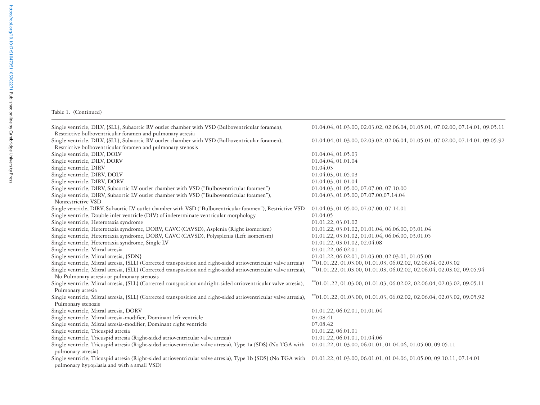#### Table 1. (Continued)

Single ventricle, DILV, {SLL}, Subaortic RV outlet chamber with VSD (Bulboventricular foramen), 01.04.04, 01.03.00, 02.03.02, 02.06.04, 01.05.01, 07.02.00, 07.14.01, 09.05.11 Restrictive bulboventricular foramen and pulmonary atresia Single ventricle, DILV, {SLL}, Subaortic RV outlet chamber with VSD (Bulboventricular foramen), 01.04.04, 01.03.00, 02.03.02, 02.06.04, 01.05.01, 07.02.00, 07.14.01, 09.05.92 Restrictive bulboventricular foramen and pulmonary stenosis Single ventricle, DILV, DOLV 01.04.04, 01.05.03 Single ventricle, DILV, DORV 01.04.04, 01.01.04 Single ventricle, DIRV 01.04.03 Single ventricle, DIRV, DOLV 01.04.03, 01.05.03 Single ventricle, DIRV, DORV 01.04.03, 01.01.04 Single ventricle, DIRV, Subaortic LV outlet chamber with VSD ("Bulboventricular foramen") 01.04.03, 01.05.00, 07.07.00, 07.10.00 Single ventricle, DIRV, Subaortic LV outlet chamber with VSD ("Bulboventricular foramen"), 01.04.03, 01.05.00, 07.07.00,07.14.04 Nonrestrictive VSDSingle ventricle, DIRV, Subaortic LV outlet chamber with VSD ("Bulboventricular foramen"), Restrictive VSD 01.04.03, 01.05.00, 07.07.00, 07.14.01 Single ventricle, Double inlet ventricle (DIV) of indeterminate ventricular morphology 01.04.05 Single ventricle, Heterotaxia syndrome 01.01.22, 03.01.02 Single ventricle, Heterotaxia syndrome, DORV, CAVC (CAVSD), Asplenia (Right isomerism) 01.01.22, 03.01.02, 01.01.04, 06.06.00, 03.01.04 Single ventricle, Heterotaxia syndrome, DORV, CAVC (CAVSD), Polysplenia (Left isomerism) 01.01.22, 03.01.02, 01.01.04, 06.06.00, 03.01.05 Single ventricle, Heterotaxia syndrome, Single LV 01.01.22, 03.01.02, 02.04.08 Single ventricle, Mitral atresia 01.01.22, 06.02.01 Single ventricle, Mitral atresia, {SDN} 01.01.22, 06.02.01, 01.03.00, 02.03.01, 01.05.00 Single ventricle, Mitral atresia, {SLL} (Corrected transposition and right-sided atrioventricular valve atresia) \*\*01.01.22, 01.03.00, 01.01.03, 06.02.02, 02.06.04, 02.03.02 Single ventricle, Mitral atresia, {SLL} (Corrected transposition and right-sided atrioventricular valve atresia),  $*01.01.22, 01.03.00, 01.01.03, 06.02.02, 02.06.04, 02.03.02, 09.05.94$ No Pulmonary atresia or pulmonary stenosis Single ventricle, Mitral atresia, {SLL} (Corrected transposition andright-sided atrioventricular valve atresia), \*\*01.01.22, 01.03.00, 01.01.03, 06.02.02, 02.06.04, 02.03.02, 09.05.11 Pulmonary atresia Single ventricle, Mitral atresia, {SLL} (Corrected transposition and right-sided atrioventricular valve atresia), \*\*01.01.22, 01.03.00, 01.01.03, 06.02.02, 02.06.04, 02.03.02, 09.05.92 Pulmonary stenosis Single ventricle, Mitral atresia, DORV 01.01.22, 06.02.01, 01.01.04 Single ventricle, Mitral atresia-modifier, Dominant left ventricle 07.08.41 Single ventricle, Mitral atresia-modifier, Dominant right ventricle 07.08.42 Single ventricle, Tricuspid atresia 01.01.22, 06.01.01 Single ventricle, Tricuspid atresia (Right-sided atrioventricular valve atresia) 01.01.22, 06.01.01, 01.04.06 Single ventricle, Tricuspid atresia (Right-sided atrioventricular valve atresia), Type 1a {SDS} (No TGA with 01.01.22, 01.03.00, 06.01.01, 01.04.06, 01.05.00, 09.05.11 pulmonary atresia) Single ventricle, Tricuspid atresia (Right-sided atrioventricular valve atresia), Type 1b {SDS} (No TGA with 01.01.22, 01.03.00, 06.01.01, 01.04.06, 01.05.00, 09.10.11, 07.14.01

pulmonary hypoplasia and with a small VSD)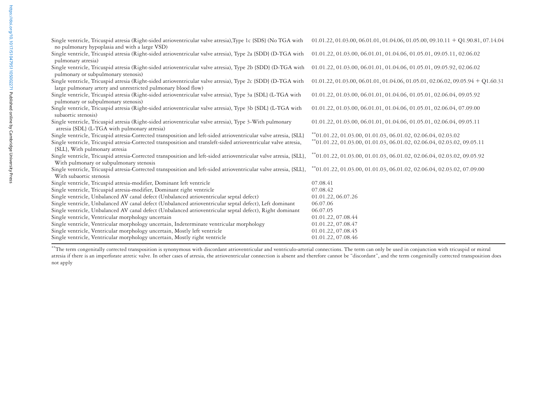| Single ventricle, Tricuspid atresia (Right-sided atrioventricular valve atresia), Type 1c (SDS) (No TGA with<br>no pulmonary hypoplasia and with a large VSD) | $01.01.22, 01.03.00, 06.01.01, 01.04.06, 01.05.00, 09.10.11 + Q1.90.81, 07.14.04$     |
|---------------------------------------------------------------------------------------------------------------------------------------------------------------|---------------------------------------------------------------------------------------|
| Single ventricle, Tricuspid atresia (Right-sided atrioventricular valve atresia), Type 2a (SDD) (D-TGA with                                                   | 01.01.22, 01.03.00, 06.01.01, 01.04.06, 01.05.01, 09.05.11, 02.06.02                  |
| pulmonary atresia)                                                                                                                                            |                                                                                       |
| Single ventricle, Tricuspid atresia (Right-sided atrioventricular valve atresia), Type 2b (SDD) (D-TGA with                                                   | 01.01.22, 01.03.00, 06.01.01, 01.04.06, 01.05.01, 09.05.92, 02.06.02                  |
| pulmonary or subpulmonary stenosis)                                                                                                                           |                                                                                       |
| Single ventricle, Tricuspid atresia (Right-sided atrioventricular valve atresia), Type 2c {SDD} (D-TGA with                                                   | $01.01.22, 01.03.00, 06.01.01, 01.04.06, 01.05.01, 02.06.02, 09.05.94 + Q1.60.31$     |
| large pulmonary artery and unrestricted pulmonary blood flow)                                                                                                 |                                                                                       |
| Single ventricle, Tricuspid atresia (Right-sided atrioventricular valve atresia), Type 3a (SDL) (L-TGA with                                                   | 01.01.22, 01.03.00, 06.01.01, 01.04.06, 01.05.01, 02.06.04, 09.05.92                  |
| pulmonary or subpulmonary stenosis)                                                                                                                           |                                                                                       |
| Single ventricle, Tricuspid atresia (Right-sided atrioventricular valve atresia), Type 3b {SDL} (L-TGA with                                                   | 01.01.22, 01.03.00, 06.01.01, 01.04.06, 01.05.01, 02.06.04, 07.09.00                  |
| subaortic stenosis)                                                                                                                                           |                                                                                       |
| Single ventricle, Tricuspid atresia (Right-sided atrioventricular valve atresia), Type 3-With pulmonary                                                       | 01.01.22, 01.03.00, 06.01.01, 01.04.06, 01.05.01, 02.06.04, 09.05.11                  |
| atresia {SDL} (L-TGA with pulmonary atresia)                                                                                                                  |                                                                                       |
| Single ventricle, Tricuspid atresia-Corrected transposition and left-sided atrioventricular valve atresia, (SLL)                                              | $^{**}$ 01.01.22, 01.03.00, 01.01.03, 06.01.02, 02.06.04, 02.03.02                    |
| Single ventricle, Tricuspid atresia-Corrected transposition and transleft-sided atrioventricular valve atresia,                                               | **01.01.22, 01.03.00, 01.01.03, 06.01.02, 02.06.04, 02.03.02, 09.05.11                |
| {SLL}, With pulmonary atresia                                                                                                                                 |                                                                                       |
| Single ventricle, Tricuspid atresia-Corrected transposition and left-sided atrioventricular valve atresia, {SLL},                                             | $*$ <sup>*</sup> 01.01.22, 01.03.00, 01.01.03, 06.01.02, 02.06.04, 02.03.02, 09.05.92 |
| With pulmonary or subpulmonary stenosis                                                                                                                       |                                                                                       |
| Single ventricle, Tricuspid atresia-Corrected transposition and left-sided atrioventricular valve atresia, {SLL},                                             | $^{**}$ 01.01.22, 01.03.00, 01.01.03, 06.01.02, 02.06.04, 02.03.02, 07.09.00          |
| With subaortic stenosis                                                                                                                                       |                                                                                       |
| Single ventricle, Tricuspid atresia-modifier, Dominant left ventricle                                                                                         | 07.08.41                                                                              |
| Single ventricle, Tricuspid atresia-modifier, Dominant right ventricle                                                                                        | 07.08.42                                                                              |
| Single ventricle, Unbalanced AV canal defect (Unbalanced atrioventricular septal defect)                                                                      | 01.01.22, 06.07.26                                                                    |
| Single ventricle, Unbalanced AV canal defect (Unbalanced atrioventricular septal defect), Left dominant                                                       | 06.07.06                                                                              |
| Single ventricle, Unbalanced AV canal defect (Unbalanced atrioventricular septal defect), Right dominant                                                      | 06.07.05                                                                              |
| Single ventricle, Ventricular morphology uncertain                                                                                                            | 01.01.22, 07.08.44                                                                    |
| Single ventricle, Ventricular morphology uncertain, Indeterminate ventricular morphology                                                                      | 01.01.22, 07.08.47                                                                    |
| Single ventricle, Ventricular morphology uncertain, Mostly left ventricle                                                                                     | 01.01.22, 07.08.45                                                                    |
| Single ventricle, Ventricular morphology uncertain, Mostly right ventricle                                                                                    | 01.01.22, 07.08.46                                                                    |
|                                                                                                                                                               |                                                                                       |

\*\*The term congenitally corrected transposition is synonymous with discordant atrioventricular and ventriculo-arterial connections. The term can only be used in conjunction with tricuspid or mitral atresia if there is an imperforate atretic valve. In other cases of atresia, the atrioventricular connection is absent and therefore cannot be "discordant", and the term congenitally corrected transposition does not apply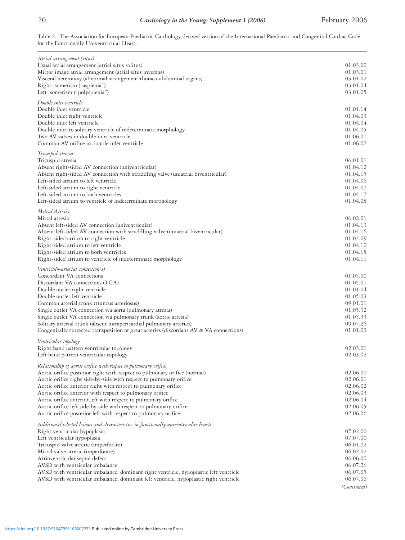## 20 *Cardiology in the Young: Supplement 1 (2006)* February 2006

Table 2. The Association for European Paediatric Cardiology derived version of the International Paediatric and Congenital Cardiac Code for the Functionally Univentricular Heart.

| Atrial arrangement (situs)                                                              |             |
|-----------------------------------------------------------------------------------------|-------------|
| Usual atrial arrangement (atrial situs solitus)                                         | 01.03.00    |
| Mirror image atrial arrangement (atrial situs inversus)                                 | 01.03.01    |
| Visceral heterotaxy (abnormal arrangement thoraco-abdominal organs)                     | 03.01.02    |
| Right isomerism ("asplenia")                                                            | 03.01.04    |
| Left isomerism ("polysplenia")                                                          | 03.01.05    |
|                                                                                         |             |
| Double inlet ventricle<br>Double inlet ventricle                                        | 01.01.14    |
| Double inlet right ventricle                                                            | 01.04.03    |
|                                                                                         |             |
| Double inlet left ventricle                                                             | 01.04.04    |
| Double inlet to solitary ventricle of indeterminate morphology                          | 01.04.05    |
| Two AV valves in double inlet ventricle                                                 | 01.06.01    |
| Common AV orifice in double inlet ventricle                                             | 01.06.02    |
| Tricuspid atresia                                                                       |             |
| Tricuspid atresia                                                                       | 06.01.01    |
| Absent right-sided AV connection (univentricular)                                       | 01.04.12    |
| Absent right-sided AV connection with straddling valve (uniatrial biventricular)        | 01.04.15    |
| Left-sided atrium to left ventricle                                                     | 01.04.06    |
| Left-sided atrium to right ventricle                                                    | 01.04.07    |
| Left-sided atrium to both ventricles                                                    | 01.04.17    |
| Left-sided atrium to ventricle of indeterminate morphology                              | 01.04.08    |
| Mitral Atresia                                                                          |             |
| Mitral atresia                                                                          | 06.02.01    |
| Absent left-sided AV connection (univentricular)                                        | 01.04.13    |
| Absent left-sided AV connection with straddling valve (uniatrial biventricular)         | 01.04.16    |
|                                                                                         | 01.04.09    |
| Right-sided atrium to right ventricle                                                   |             |
| Right-sided atrium to left ventricle                                                    | 01.04.10    |
| Right-sided atrium to both ventricles                                                   | 01.04.18    |
| Right-sided atrium to ventricle of indeterminate morphology                             | 01.04.11    |
| Ventriculo-arterial connection(s)                                                       |             |
| Concordant VA connections                                                               | 01.05.00    |
| Discordant VA connections (TGA)                                                         | 01.05.01    |
| Double outlet right ventricle                                                           | 01.01.04    |
| Double outlet left ventricle                                                            | 01.05.03    |
| Common arterial trunk (truncus arteriosus)                                              | 09.01.01    |
| Single outlet VA connection via aorta (pulmonary atresia)                               | 01.05.32    |
|                                                                                         |             |
| Single outlet VA connection via pulmonary trunk (aortic atresia)                        | 01.05.33    |
| Solitary arterial trunk (absent intrapericardial pulmonary arteries)                    | 09.07.26    |
| Congenitally corrected transposition of great arteries (discordant AV & VA connections) | 01.01.03    |
| Ventricular topology                                                                    |             |
| Right hand pattern ventricular topology                                                 | 02.03.01    |
| Left hand pattern ventricular topology                                                  | 02.03.02    |
| Relationship of aortic orifice with respect to pulmonary orifice                        |             |
| Aortic orifice posterior right with respect to pulmonary orifice (normal)               | 02.06.00    |
| Aortic orifice right side-by-side with respect to pulmonary orifice                     | 02.06.01    |
| Aortic orifice anterior right with respect to pulmonary orifice                         | 02.06.02    |
| Aortic orifice anterior with respect to pulmonary orifice                               | 02.06.03    |
| Aortic orifice anterior left with respect to pulmonary orifice                          | 02.06.04    |
|                                                                                         |             |
| Aortic orifice left side-by-side with respect to pulmonary orifice                      | 02.06.05    |
| Aortic orifice posterior left with respect to pulmonary orifice                         | 02.06.06    |
| Additional selected lesions and characteristics in functionally univentricular hearts   |             |
| Right ventricular hypoplasia                                                            | 07.02.00    |
| Left ventricular hypoplasia                                                             | 07.07.00    |
| Tricuspid valve atretic (imperforate)                                                   | 06.01.02    |
| Mitral valve atretic (imperforate)                                                      | 06.02.02    |
| Atrioventricular septal defect                                                          | 06.06.00    |
| AVSD with ventricular imbalance                                                         | 06.07.26    |
|                                                                                         | 06.07.05    |
| AVSD with ventricular imbalance: dominant right ventricle, hypoplastic left ventricle   | 06.07.06    |
| AVSD with ventricular imbalance: dominant left ventricle, hypoplastic right ventricle   |             |
|                                                                                         | (Continued) |